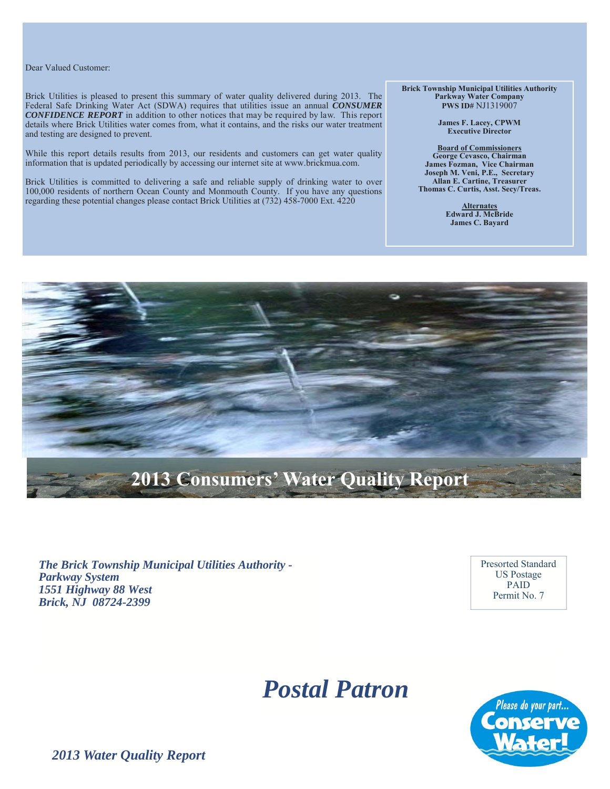Dear Valued Customer:

Brick Utilities is pleased to present this summary of water quality delivered during 2013. The Federal Safe Drinking Water Act (SDWA) requires that utilities issue an annual *CONSUMER CONFIDENCE REPORT* in addition to other notices that may be required by law. This report details where Brick Utilities water comes from, what it contains, and the risks our water treatment and testing are designed to prevent.

While this report details results from 2013, our residents and customers can get water quality information that is updated periodically by accessing our internet site at www.brickmua.com.

Brick Utilities is committed to delivering a safe and reliable supply of drinking water to over 100,000 residents of northern Ocean County and Monmouth County. If you have any questions regarding these potential changes please contact Brick Utilities at (732) 458-7000 Ext. 4220

**Brick Township Municipal Utilities Authority Parkway Water Company PWS ID#** NJ1319007

> **James F. Lacey, CPWM Executive Director**

**Board of Commissioners George Cevasco, Chairman James Fozman, Vice Chairman Joseph M. Veni, P.E., Secretary Allan E. Cartine, Treasurer Thomas C. Curtis, Asst. Secy/Treas.** 

> **Alternates Edward J. McBride James C. Bayard**



*The Brick Township Municipal Utilities Authority - Parkway System 1551 Highway 88 West Brick, NJ 08724-2399* 

Presorted Standard US Postage PAID Permit No. 7

# *Postal Patron*



*2013 Water Quality Report*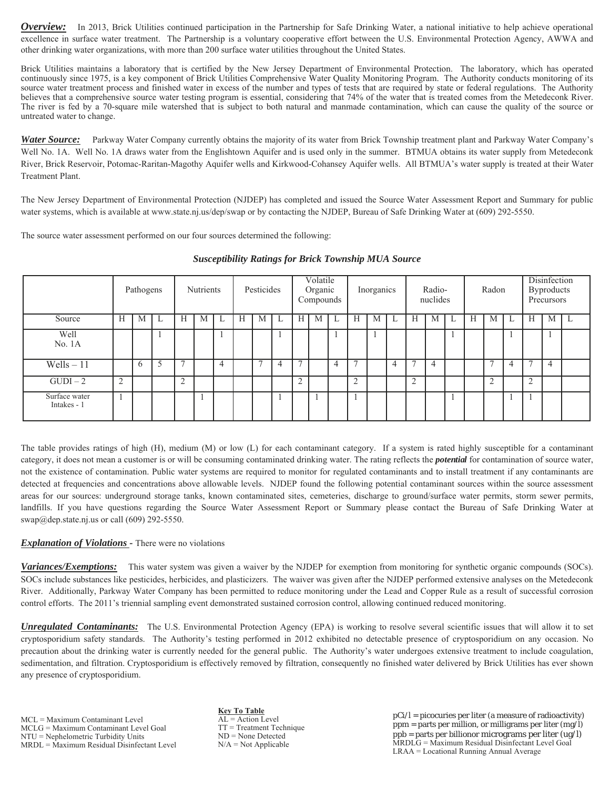*Overview:* In 2013, Brick Utilities continued participation in the Partnership for Safe Drinking Water, a national initiative to help achieve operational excellence in surface water treatment. The Partnership is a voluntary cooperative effort between the U.S. Environmental Protection Agency, AWWA and other drinking water organizations, with more than 200 surface water utilities throughout the United States.

Brick Utilities maintains a laboratory that is certified by the New Jersey Department of Environmental Protection. The laboratory, which has operated continuously since 1975, is a key component of Brick Utilities Comprehensive Water Quality Monitoring Program. The Authority conducts monitoring of its source water treatment process and finished water in excess of the number and types of tests that are required by state or federal regulations. The Authority believes that a comprehensive source water testing program is essential, considering that 74% of the water that is treated comes from the Metedeconk River. The river is fed by a 70-square mile watershed that is subject to both natural and manmade contamination, which can cause the quality of the source or untreated water to change.

*Water Source:* Parkway Water Company currently obtains the majority of its water from Brick Township treatment plant and Parkway Water Company's Well No. 1A. Well No. 1A draws water from the Englishtown Aquifer and is used only in the summer. BTMUA obtains its water supply from Metedeconk River, Brick Reservoir, Potomac-Raritan-Magothy Aquifer wells and Kirkwood-Cohansey Aquifer wells. All BTMUA's water supply is treated at their Water Treatment Plant.

The New Jersey Department of Environmental Protection (NJDEP) has completed and issued the Source Water Assessment Report and Summary for public water systems, which is available at www.state.nj.us/dep/swap or by contacting the NJDEP, Bureau of Safe Drinking Water at (609) 292-5550.

The source water assessment performed on our four sources determined the following:

|                              | Pathogens      |          | Nutrients |           | Pesticides |   | Volatile<br>Organic<br>Compounds |   |   | Inorganics         |   |   | Radio-<br>nuclides |   |   | Radon          |   |  | Disinfection<br><b>Byproducts</b><br>Precursors |               |   |            |   |  |
|------------------------------|----------------|----------|-----------|-----------|------------|---|----------------------------------|---|---|--------------------|---|---|--------------------|---|---|----------------|---|--|-------------------------------------------------|---------------|---|------------|---|--|
| Source                       | Н              | M        | L         | H         | M          |   | H.                               | M | ⊷ | Н                  | M |   | Н                  | M |   | H              | M |  | Н                                               | M             | ⊾ | H          | M |  |
| Well<br>No. 1A               |                |          |           |           |            |   |                                  |   |   |                    |   |   |                    |   |   |                |   |  |                                                 |               |   |            |   |  |
| $Wells - 11$                 |                | $\sigma$ |           |           |            | 4 |                                  | − | 4 | $\overline{ }$     |   | 4 | −                  |   | 4 | 7              | 4 |  |                                                 | −             | 4 | −          | 4 |  |
| $GUDI-2$                     | $\overline{2}$ |          |           | $\bigcap$ |            |   |                                  |   |   | $\mathcal{L}$<br>∠ |   |   | 2                  |   |   | $\overline{2}$ |   |  |                                                 | $\mathcal{L}$ |   | $\bigcirc$ |   |  |
| Surface water<br>Intakes - 1 |                |          |           |           |            |   |                                  |   |   |                    |   |   |                    |   |   |                |   |  |                                                 |               |   |            |   |  |

## *Susceptibility Ratings for Brick Township MUA Source*

The table provides ratings of high (H), medium (M) or low (L) for each contaminant category. If a system is rated highly susceptible for a contaminant category, it does not mean a customer is or will be consuming contaminated drinking water. The rating reflects the *potential* for contamination of source water, not the existence of contamination. Public water systems are required to monitor for regulated contaminants and to install treatment if any contaminants are detected at frequencies and concentrations above allowable levels. NJDEP found the following potential contaminant sources within the source assessment areas for our sources: underground storage tanks, known contaminated sites, cemeteries, discharge to ground/surface water permits, storm sewer permits, landfills. If you have questions regarding the Source Water Assessment Report or Summary please contact the Bureau of Safe Drinking Water at swap@dep.state.nj.us or call (609) 292-5550.

# *Explanation of Violations* - There were no violations

**Variances/Exemptions:** This water system was given a waiver by the NJDEP for exemption from monitoring for synthetic organic compounds (SOCs). SOCs include substances like pesticides, herbicides, and plasticizers. The waiver was given after the NJDEP performed extensive analyses on the Metedeconk River. Additionally, Parkway Water Company has been permitted to reduce monitoring under the Lead and Copper Rule as a result of successful corrosion control efforts. The 2011's triennial sampling event demonstrated sustained corrosion control, allowing continued reduced monitoring.

*Unregulated Contaminants:* The U.S. Environmental Protection Agency (EPA) is working to resolve several scientific issues that will allow it to set cryptosporidium safety standards. The Authority's testing performed in 2012 exhibited no detectable presence of cryptosporidium on any occasion. No precaution about the drinking water is currently needed for the general public. The Authority's water undergoes extensive treatment to include coagulation, sedimentation, and filtration. Cryptosporidium is effectively removed by filtration, consequently no finished water delivered by Brick Utilities has ever shown any presence of cryptosporidium.

**Key To Table**  $AL = Action Level$ TT = Treatment Technique ND = None Detected N/A = Not Applicable

pCi/l = picocuries per liter (a measure of radioactivity) ppm = parts per million, or milligrams per liter (mg/l) ppb = parts per billionor micrograms per liter (ug/l) MRDLG = Maximum Residual Disinfectant Level Goal LRAA = Locational Running Annual Average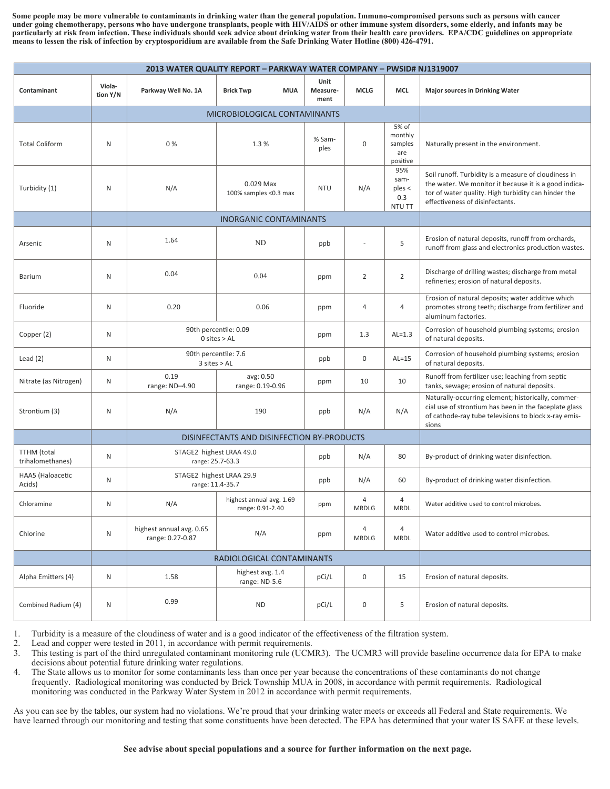**Some people may be more vulnerable to contaminants in drinking water than the general population. Immuno-compromised persons such as persons with cancer under going chemotherapy, persons who have undergone transplants, people with HIV/AIDS or other immune system disorders, some elderly, and infants may be particularly at risk from infection. These individuals should seek advice about drinking water from their health care providers. EPA/CDC guidelines on appropriate means to lessen the risk of infection by cryptosporidium are available from the Safe Drinking Water Hotline (800) 426-4791.** 

| 2013 WATER QUALITY REPORT - PARKWAY WATER COMPANY - PWSID# NJ1319007 |                    |                                              |                                              |                                         |                                       |                                                |                                                                                                                                                                                                         |  |  |  |  |  |
|----------------------------------------------------------------------|--------------------|----------------------------------------------|----------------------------------------------|-----------------------------------------|---------------------------------------|------------------------------------------------|---------------------------------------------------------------------------------------------------------------------------------------------------------------------------------------------------------|--|--|--|--|--|
| Contaminant                                                          | Viola-<br>tion Y/N | Parkway Well No. 1A                          | <b>MUA</b><br><b>Brick Twp</b>               | Unit<br><b>MCLG</b><br>Measure-<br>ment |                                       | <b>MCL</b>                                     | <b>Major sources in Drinking Water</b>                                                                                                                                                                  |  |  |  |  |  |
|                                                                      |                    |                                              | MICROBIOLOGICAL CONTAMINANTS                 |                                         |                                       |                                                |                                                                                                                                                                                                         |  |  |  |  |  |
| <b>Total Coliform</b>                                                | N                  | 0%                                           | 1.3%                                         | % Sam-<br>ples                          | 0                                     | 5% of<br>monthly<br>samples<br>are<br>positive | Naturally present in the environment.                                                                                                                                                                   |  |  |  |  |  |
| Turbidity (1)                                                        | N                  | N/A                                          | 0.029 Max<br>100% samples <0.3 max           | <b>NTU</b>                              | N/A                                   | 95%<br>sam-<br>$p$ les <<br>0.3<br>NTU TT      | Soil runoff. Turbidity is a measure of cloudiness in<br>the water. We monitor it because it is a good indica-<br>tor of water quality. High turbidity can hinder the<br>effectiveness of disinfectants. |  |  |  |  |  |
|                                                                      |                    |                                              | <b>INORGANIC CONTAMINANTS</b>                |                                         |                                       |                                                |                                                                                                                                                                                                         |  |  |  |  |  |
| Arsenic                                                              | $\mathsf{N}$       | 1.64                                         | ND                                           | ppb                                     |                                       | 5                                              | Erosion of natural deposits, runoff from orchards,<br>runoff from glass and electronics production wastes.                                                                                              |  |  |  |  |  |
| Barium                                                               | N                  | 0.04                                         | 0.04                                         | ppm                                     | $\overline{2}$                        | $\overline{2}$                                 | Discharge of drilling wastes; discharge from metal<br>refineries; erosion of natural deposits.                                                                                                          |  |  |  |  |  |
| Fluoride                                                             | N                  | 0.20                                         | 0.06                                         | ppm                                     | 4                                     | 4                                              | Erosion of natural deposits; water additive which<br>promotes strong teeth; discharge from fertilizer and<br>aluminum factories.                                                                        |  |  |  |  |  |
| Copper (2)                                                           | N                  |                                              | 90th percentile: 0.09<br>$0$ sites $>$ AL    | ppm                                     | 1.3                                   | $AL=1.3$                                       | Corrosion of household plumbing systems; erosion<br>of natural deposits.                                                                                                                                |  |  |  |  |  |
| Lead $(2)$                                                           | ${\sf N}$          | 90th percentile: 7.6<br>$3$ sites $>$ AL     |                                              | ppb                                     | 0                                     | $AL=15$                                        | Corrosion of household plumbing systems; erosion<br>of natural deposits.                                                                                                                                |  |  |  |  |  |
| Nitrate (as Nitrogen)                                                | N                  | 0.19<br>range: ND-4.90                       | avg: 0.50<br>range: 0.19-0.96                | ppm                                     | 10                                    | 10                                             | Runoff from fertilizer use; leaching from septic<br>tanks, sewage; erosion of natural deposits.                                                                                                         |  |  |  |  |  |
| Strontium (3)                                                        | N                  | N/A                                          | 190                                          | ppb                                     | N/A                                   | N/A                                            | Naturally-occurring element; historically, commer-<br>cial use of strontium has been in the faceplate glass<br>of cathode-ray tube televisions to block x-ray emis-<br>sions                            |  |  |  |  |  |
|                                                                      |                    |                                              | DISINFECTANTS AND DISINFECTION BY-PRODUCTS   |                                         |                                       |                                                |                                                                                                                                                                                                         |  |  |  |  |  |
| <b>TTHM</b> (total<br>trihalomethanes)                               | $\mathsf{N}$       | STAGE2 highest LRAA 49.0<br>range: 25.7-63.3 |                                              | ppb                                     | N/A                                   | 80                                             | By-product of drinking water disinfection.                                                                                                                                                              |  |  |  |  |  |
| HAA5 (Haloacetic<br>Acids)                                           | N                  | STAGE2 highest LRAA 29.9<br>range: 11.4-35.7 |                                              | ppb                                     | N/A<br>60                             |                                                | By-product of drinking water disinfection.                                                                                                                                                              |  |  |  |  |  |
| Chloramine                                                           | N                  | N/A                                          | highest annual avg. 1.69<br>range: 0.91-2.40 | ppm                                     | 4<br>4<br><b>MRDLG</b><br><b>MRDL</b> |                                                | Water additive used to control microbes.                                                                                                                                                                |  |  |  |  |  |
| Chlorine                                                             | N                  | highest annual avg. 0.65<br>range: 0.27-0.87 | N/A                                          | ppm                                     | 4<br><b>MRDLG</b>                     |                                                | Water additive used to control microbes.                                                                                                                                                                |  |  |  |  |  |
|                                                                      |                    | RADIOLOGICAL CONTAMINANTS                    |                                              |                                         |                                       |                                                |                                                                                                                                                                                                         |  |  |  |  |  |
| Alpha Emitters (4)                                                   | N                  | 1.58                                         | highest avg. 1.4<br>range: ND-5.6            | pCi/L                                   | $\boldsymbol{0}$<br>15                |                                                | Erosion of natural deposits.                                                                                                                                                                            |  |  |  |  |  |
| Combined Radium (4)                                                  | ${\sf N}$          | 0.99                                         | <b>ND</b>                                    | pCi/L                                   | 0                                     | 5                                              | Erosion of natural deposits.                                                                                                                                                                            |  |  |  |  |  |

1. Turbidity is a measure of the cloudiness of water and is a good indicator of the effectiveness of the filtration system.

2. Lead and copper were tested in 2011, in accordance with permit requirements.<br>3. This testing is part of the third unregulated contaminant monitoring rule (UCM)

3. This testing is part of the third unregulated contaminant monitoring rule (UCMR3). The UCMR3 will provide baseline occurrence data for EPA to make decisions about potential future drinking water regulations.

4. The State allows us to monitor for some contaminants less than once per year because the concentrations of these contaminants do not change frequently. Radiological monitoring was conducted by Brick Township MUA in 2008, in accordance with permit requirements. Radiological monitoring was conducted in the Parkway Water System in 2012 in accordance with permit requirements.

As you can see by the tables, our system had no violations. We're proud that your drinking water meets or exceeds all Federal and State requirements. We have learned through our monitoring and testing that some constituents have been detected. The EPA has determined that your water IS SAFE at these levels.